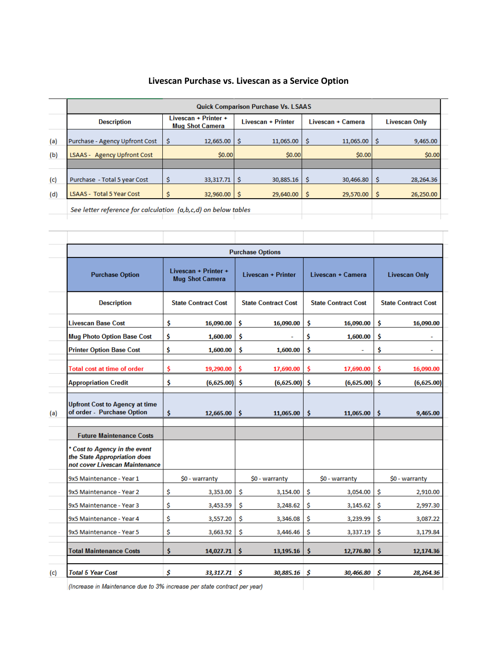## **Livescan Purchase vs. Livescan as a Service Option**

|     | <b>Quick Comparison Purchase Vs. LSAAS</b> |                                                |                          |                   |                      |  |  |  |  |
|-----|--------------------------------------------|------------------------------------------------|--------------------------|-------------------|----------------------|--|--|--|--|
|     | <b>Description</b>                         | Livescan + Printer +<br><b>Mug Shot Camera</b> | Livescan + Printer       | Livescan + Camera | <b>Livescan Only</b> |  |  |  |  |
| (a) | Purchase - Agency Upfront Cost             | \$<br>12,665.00                                | l \$<br>$11,065.00$   \$ | 11,065.00         | -Ŝ<br>9,465.00       |  |  |  |  |
| (b) | LSAAS - Agency Upfront Cost                | \$0.00                                         | \$0.00                   | \$0.00            | \$0.00               |  |  |  |  |
|     |                                            |                                                |                          |                   |                      |  |  |  |  |
| (c) | Purchase - Total 5 year Cost               | \$<br>$33,317.71$ $\sqrt{5}$                   | $30,885.16$ $\sqrt{5}$   | 30,466.80         | 28,264.36<br>-S      |  |  |  |  |
| (d) | <b>LSAAS - Total 5 Year Cost</b>           | $32,960.00$ \ \$                               | 29,640.00                | 29,570.00         | 26,250.00            |  |  |  |  |
|     |                                            |                                                |                          |                   |                      |  |  |  |  |

See letter reference for calculation (a,b,c,d) on below tables

| <b>Purchase Options</b> |                                                                                                 |                                                |                            |                            |                            |  |  |
|-------------------------|-------------------------------------------------------------------------------------------------|------------------------------------------------|----------------------------|----------------------------|----------------------------|--|--|
|                         | <b>Purchase Option</b>                                                                          | Livescan + Printer +<br><b>Mug Shot Camera</b> | <b>Livescan + Printer</b>  | Livescan + Camera          | <b>Livescan Only</b>       |  |  |
|                         | <b>Description</b>                                                                              | <b>State Contract Cost</b>                     | <b>State Contract Cost</b> | <b>State Contract Cost</b> | <b>State Contract Cost</b> |  |  |
|                         | <b>Livescan Base Cost</b>                                                                       | \$<br>16,090.00                                | \$<br>16,090.00            | Ŝ<br>16,090.00             | \$<br>16,090.00            |  |  |
|                         | <b>Mug Photo Option Base Cost</b>                                                               | \$<br>1,600.00                                 | \$                         | Ś<br>1,600.00              | \$                         |  |  |
|                         | <b>Printer Option Base Cost</b>                                                                 | \$<br>1,600.00                                 | \$<br>1,600.00             | Ś                          | \$                         |  |  |
|                         | <b>Total cost at time of order</b>                                                              | Ś<br>19,290.00                                 | Ŝ<br>17,690.00             | Ŝ<br>17,690.00             | \$<br>16,090.00            |  |  |
|                         | <b>Appropriation Credit</b>                                                                     | \$<br>$(6,625.00)$ \$                          | $(6,625.00)$ \$            | (6,625.00)                 | -Ŝ<br>(6,625.00)           |  |  |
| (a)                     | <b>Upfront Cost to Agency at time</b><br>of order - Purchase Option                             | Ŝ<br>12,665.00                                 | Ŝ<br>11,065.00             | Ŝ.<br>11,065.00            | s.<br>9,465.00             |  |  |
|                         | <b>Future Maintenance Costs</b>                                                                 |                                                |                            |                            |                            |  |  |
|                         | * Cost to Agency in the event<br>the State Appropriation does<br>not cover Livescan Maintenance |                                                |                            |                            |                            |  |  |
|                         | 9x5 Maintenance - Year 1                                                                        | \$0 - warranty                                 | \$0 - warranty             | \$0 - warranty             | \$0 - warranty             |  |  |
|                         | 9x5 Maintenance - Year 2                                                                        | \$<br>3,353.00                                 | \$<br>3,154.00             | Ŝ.<br>3,054.00             | \$<br>2,910.00             |  |  |
|                         | 9x5 Maintenance - Year 3                                                                        | \$<br>3,453.59                                 | \$<br>3,248.62             | \$<br>3,145.62             | \$<br>2,997.30             |  |  |
|                         | 9x5 Maintenance - Year 4                                                                        | \$<br>3,557.20                                 | \$<br>3,346.08             | Ś<br>3,239.99              | \$<br>3,087.22             |  |  |
|                         | 9x5 Maintenance - Year 5                                                                        | \$<br>3,663.92                                 | \$<br>3,446.46             | Ś<br>3,337.19              | \$<br>3,179.84             |  |  |
|                         | <b>Total Maintenance Costs</b>                                                                  | Ś<br>14,027.71                                 | Ŝ<br>13,195.16             | Ŝ<br>12,776.80             | Ŝ<br>12,174.36             |  |  |
| (c)                     | <b>Total 5 Year Cost</b>                                                                        | \$<br>33,317.71                                | Ŝ<br>30,885.16             | \$.<br>30,466.80           | \$<br>28,264.36            |  |  |

(Increase in Maintenance due to 3% increase per state contract per year)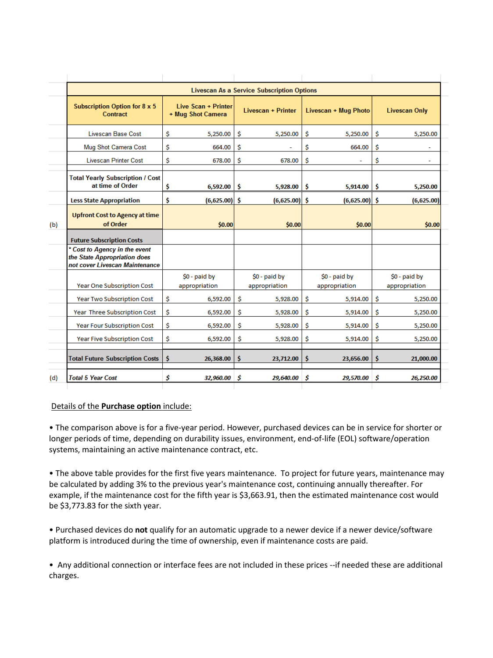|     | <b>Livescan As a Service Subscription Options</b>                                               |    |                                          |    |                                |     |                                |     |                                 |
|-----|-------------------------------------------------------------------------------------------------|----|------------------------------------------|----|--------------------------------|-----|--------------------------------|-----|---------------------------------|
|     | Subscription Option for 8 x 5<br><b>Contract</b>                                                |    | Live Scan + Printer<br>+ Mug Shot Camera |    | Livescan + Printer             |     | Livescan + Mug Photo           |     | <b>Livescan Only</b>            |
|     | Livescan Base Cost                                                                              | \$ | 5,250.00                                 | \$ | 5,250.00                       | \$. | 5,250.00                       | \$. | 5,250.00                        |
|     | Mug Shot Camera Cost                                                                            | Ś  | 664.00                                   | Ś  |                                | Ś   | 664.00                         | Ŝ   |                                 |
|     | <b>Livescan Printer Cost</b>                                                                    | \$ | 678.00                                   | Ŝ  | 678.00                         | \$  | ä,                             | \$  | ۰                               |
|     | <b>Total Yearly Subscription / Cost</b><br>at time of Order                                     | \$ | 6,592.00                                 | Ŝ  | 5,928.00                       | Ŝ   | 5,914.00                       | Ŝ   | 5,250.00                        |
|     | <b>Less State Appropriation</b>                                                                 | Ś  | $(6,625.00)$ \$                          |    | (6,625.00)                     | -Ś  | (6,625.00)                     | Ŝ   | (6,625.00)                      |
| (b) | <b>Upfront Cost to Agency at time</b><br>of Order                                               |    | \$0.00                                   |    | \$0.00                         |     | \$0.00                         |     | \$0.00                          |
|     | <b>Future Subscription Costs</b>                                                                |    |                                          |    |                                |     |                                |     |                                 |
|     | * Cost to Agency in the event<br>the State Appropriation does<br>not cover Livescan Maintenance |    |                                          |    |                                |     |                                |     |                                 |
|     | Year One Subscription Cost                                                                      |    | \$0 - paid by<br>appropriation           |    | \$0 - paid by<br>appropriation |     | \$0 - paid by<br>appropriation |     | $$0 - paid by$<br>appropriation |
|     | <b>Year Two Subscription Cost</b>                                                               | \$ | 6,592.00                                 | \$ | 5,928.00                       | \$  | 5,914.00                       | \$  | 5,250.00                        |
|     | Year Three Subscription Cost                                                                    | \$ | 6,592.00                                 | \$ | 5,928.00                       | \$  | 5,914.00                       | \$  | 5,250.00                        |
|     | <b>Year Four Subscription Cost</b>                                                              | \$ | 6,592.00                                 | \$ | 5,928.00                       | Ŝ   | 5,914.00                       | \$. | 5,250.00                        |
|     | <b>Year Five Subscription Cost</b>                                                              | Ś  | 6,592.00                                 | Ś  | 5,928.00                       | Ś   | 5,914.00                       | Ŝ   | 5,250.00                        |
|     | <b>Total Future Subscription Costs</b>                                                          | Ś  | 26,368.00                                | Ŝ. | 23,712.00                      | Ŝ   | 23,656.00                      | Ŝ   | 21,000.00                       |
| (d) | <b>Total 5 Year Cost</b>                                                                        | \$ | 32,960.00                                | Ŝ  | 29,640.00                      | Ŝ   | 29,570.00                      | Ŝ   | 26,250.00                       |
|     |                                                                                                 |    |                                          |    |                                |     |                                |     |                                 |

## Details of the **Purchase option** include:

• The comparison above is for a five-year period. However, purchased devices can be in service for shorter or longer periods of time, depending on durability issues, environment, end-of-life (EOL) software/operation systems, maintaining an active maintenance contract, etc.

• The above table provides for the first five years maintenance. To project for future years, maintenance may be calculated by adding 3% to the previous year's maintenance cost, continuing annually thereafter. For example, if the maintenance cost for the fifth year is \$3,663.91, then the estimated maintenance cost would be \$3,773.83 for the sixth year.

• Purchased devices do **not** qualify for an automatic upgrade to a newer device if a newer device/software platform is introduced during the time of ownership, even if maintenance costs are paid.

• Any additional connection or interface fees are not included in these prices --if needed these are additional charges.